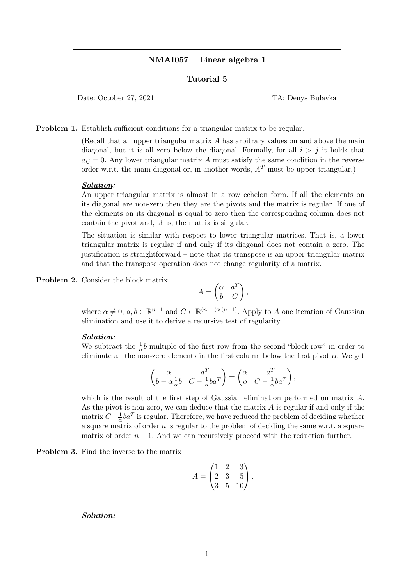# NMAI057 – Linear algebra 1

## Tutorial 5

Date: October 27, 2021 TA: Denys Bulavka

Problem 1. Establish sufficient conditions for a triangular matrix to be regular.

(Recall that an upper triangular matrix A has arbitrary values on and above the main diagonal, but it is all zero below the diagonal. Formally, for all  $i > j$  it holds that  $a_{ij} = 0$ . Any lower triangular matrix A must satisfy the same condition in the reverse order w.r.t. the main diagonal or, in another words,  $A<sup>T</sup>$  must be upper triangular.)

### Solution:

An upper triangular matrix is almost in a row echelon form. If all the elements on its diagonal are non-zero then they are the pivots and the matrix is regular. If one of the elements on its diagonal is equal to zero then the corresponding column does not contain the pivot and, thus, the matrix is singular.

The situation is similar with respect to lower triangular matrices. That is, a lower triangular matrix is regular if and only if its diagonal does not contain a zero. The justification is straightforward – note that its transpose is an upper triangular matrix and that the transpose operation does not change regularity of a matrix.

Problem 2. Consider the block matrix

$$
A = \begin{pmatrix} \alpha & a^T \\ b & C \end{pmatrix},
$$

where  $\alpha \neq 0$ ,  $a, b \in \mathbb{R}^{n-1}$  and  $C \in \mathbb{R}^{(n-1)\times (n-1)}$ . Apply to A one iteration of Gaussian elimination and use it to derive a recursive test of regularity.

#### Solution:

We subtract the  $\frac{1}{\alpha}$ b-multiple of the first row from the second "block-row" in order to eliminate all the non-zero elements in the first column below the first pivot  $\alpha$ . We get

$$
\begin{pmatrix}\n\alpha & a^T \\
b - \alpha \frac{1}{\alpha}b & C - \frac{1}{\alpha}ba^T\n\end{pmatrix} = \begin{pmatrix}\n\alpha & a^T \\
o & C - \frac{1}{\alpha}ba^T\n\end{pmatrix},
$$

which is the result of the first step of Gaussian elimination performed on matrix A. As the pivot is non-zero, we can deduce that the matrix  $A$  is regular if and only if the matrix  $C - \frac{1}{2}$  $\frac{1}{\alpha}ba^T$  is regular. Therefore, we have reduced the problem of deciding whether a square matrix of order  $n$  is regular to the problem of deciding the same w.r.t. a square matrix of order  $n - 1$ . And we can recursively proceed with the reduction further.

Problem 3. Find the inverse to the matrix

$$
A = \begin{pmatrix} 1 & 2 & 3 \\ 2 & 3 & 5 \\ 3 & 5 & 10 \end{pmatrix}.
$$

Solution: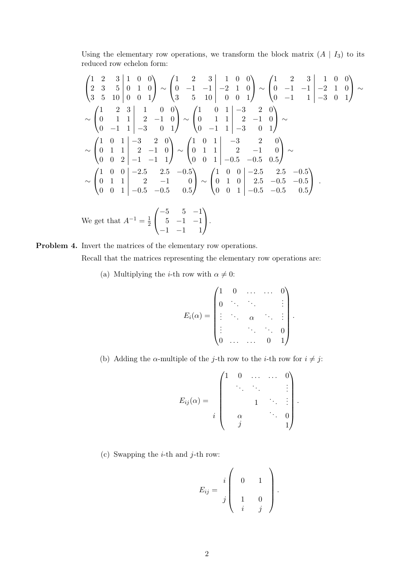Using the elementary row operations, we transform the block matrix  $(A | I_3)$  to its reduced row echelon form:

$$
\begin{pmatrix}\n1 & 2 & 3 & 1 & 0 & 0 \\
2 & 3 & 5 & 0 & 1 & 0 \\
3 & 5 & 10 & 0 & 0 & 1\n\end{pmatrix}\n\sim\n\begin{pmatrix}\n1 & 2 & 3 & 1 & 0 & 0 \\
0 & -1 & -1 & -2 & 1 & 0 \\
3 & 5 & 10 & 0 & 0 & 1\n\end{pmatrix}\n\sim\n\begin{pmatrix}\n1 & 2 & 3 & 1 & 0 & 0 \\
0 & -1 & -1 & -2 & 1 & 0 \\
0 & -1 & 1 & -3 & 0 & 1\n\end{pmatrix}\n\sim\n\begin{pmatrix}\n1 & 0 & 1 & -3 & 2 & 0 \\
0 & 1 & 1 & 2 & -1 & 0 \\
0 & -1 & 1 & -3 & 0 & 1\n\end{pmatrix}\n\sim\n\begin{pmatrix}\n1 & 0 & 1 & -3 & 2 & 0 \\
0 & 1 & 1 & 2 & -1 & 0 \\
0 & 0 & 2 & -1 & -1 & 1\n\end{pmatrix}\n\sim\n\begin{pmatrix}\n1 & 0 & 1 & -3 & 2 & 0 \\
0 & 1 & 1 & 2 & -1 & 0 \\
0 & 0 & 1 & -0.5 & -0.5 & 0.5\n\end{pmatrix}\n\sim\n\begin{pmatrix}\n1 & 0 & 0 & -2.5 & 2.5 & -0.5 \\
0 & 1 & 1 & 2 & -1 & 0 \\
0 & 0 & 1 & -0.5 & -0.5 & 0.5\n\end{pmatrix}\n\sim\n\begin{pmatrix}\n1 & 0 & 0 & -2.5 & 2.5 & -0.5 \\
0 & 1 & 0 & 2.5 & -0.5 & -0.5 \\
0 & 0 & 1 & -0.5 & -0.5 & 0.5\n\end{pmatrix}.
$$

We get that  $A^{-1} = \frac{1}{2}$  $\overline{2}$  $\sqrt{ }$  $\overline{1}$  $-5$  5  $-1$  $5 -1 -1$ −1 −1 1  $\setminus$  $\cdot$ 

Problem 4. Invert the matrices of the elementary row operations. Recall that the matrices representing the elementary row operations are:

(a) Multiplying the *i*-th row with  $\alpha \neq 0$ :

$$
E_i(\alpha) = \begin{pmatrix} 1 & 0 & \dots & \dots & 0 \\ 0 & \ddots & \ddots & & \vdots \\ \vdots & \ddots & \alpha & \ddots & \vdots \\ \vdots & & \ddots & \ddots & 0 \\ 0 & \dots & \dots & 0 & 1 \end{pmatrix}.
$$

(b) Adding the  $\alpha$ -multiple of the j-th row to the *i*-th row for  $i \neq j$ :

$$
E_{ij}(\alpha) = \begin{pmatrix} 1 & 0 & \dots & \dots & 0 \\ & \ddots & \ddots & & \vdots \\ & & 1 & \ddots & \vdots \\ & \alpha & & & \ddots & 0 \\ & j & & & & 1 \end{pmatrix}.
$$

(c) Swapping the  $i$ -th and  $j$ -th row:

$$
E_{ij} = \begin{array}{c} i \begin{pmatrix} 0 & 1 \\ 1 & 0 \\ i & j \end{pmatrix} .
$$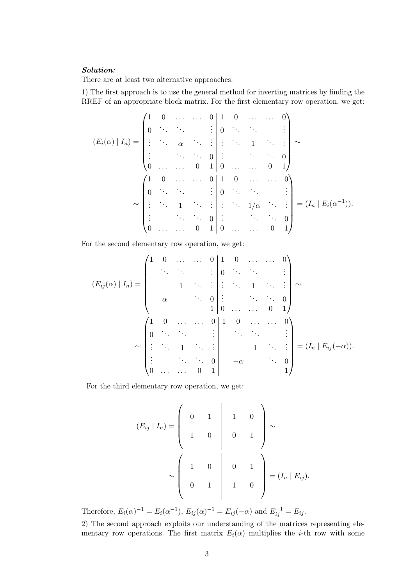## Solution:

There are at least two alternative approaches.

1) The first approach is to use the general method for inverting matrices by finding the RREF of an appropriate block matrix. For the first elementary row operation, we get:

$$
(E_i(\alpha) | I_n) = \begin{pmatrix} 1 & 0 & \dots & \dots & 0 & 1 & 0 & \dots & \dots & 0 \\ 0 & \ddots & \ddots & & & \vdots & 0 & \ddots & \ddots & & \vdots \\ \vdots & & \ddots & \alpha & & & \vdots & \vdots & \ddots & 1 & \ddots & \vdots \\ \vdots & & & \ddots & & & 0 & 1 & 0 & \dots & \dots & 0 & 1 \end{pmatrix} \sim
$$

$$
\sim \begin{pmatrix} 1 & 0 & \dots & \dots & 0 & 1 & 0 & \dots & \dots & 0 \\ 0 & \ddots & & & & \vdots & 0 & \ddots & & \vdots \\ \vdots & & & \ddots & & & \vdots & \vdots & \ddots & \ddots & \vdots \\ \vdots & & & & \ddots & & \vdots & \vdots & \ddots & \ddots & 0 \\ 0 & & & & & & \vdots & & \ddots & \ddots & 0 \\ \vdots & & & & & & \ddots & & \vdots \\ 0 & & & & & & & \ddots & & \vdots \\ \end{pmatrix} = (I_n | E_i(\alpha^{-1})).
$$

For the second elementary row operation, we get:

$$
(E_{ij}(\alpha) | I_n) = \begin{pmatrix} 1 & 0 & \dots & \dots & 0 & 1 & 0 & \dots & \dots & 0 \\ & \ddots & \ddots & & & \vdots & 0 & \ddots & \ddots & & \vdots \\ & & & 1 & \ddots & \vdots & \vdots & \ddots & 1 & \ddots & \vdots \\ & & & & & 0 & \vdots & & \ddots & \ddots & 0 \\ & & & & & 1 & 0 & \dots & \dots & 0 & 1 \end{pmatrix} \sim
$$

$$
\sim \begin{pmatrix} 1 & 0 & \dots & \dots & 0 & 1 & 0 & \dots & \dots & 0 \\ 0 & \ddots & \ddots & & & \vdots & & \ddots & \ddots & \vdots \\ \vdots & & & \ddots & 1 & \ddots & \vdots & & 1 & \ddots & \vdots \\ \vdots & & & & & \ddots & \ddots & 0 & 1 \\ 0 & \dots & \dots & 0 & 1 & & & & 1 \end{pmatrix} = (I_n | E_{ij}(-\alpha)).
$$

For the third elementary row operation, we get:

$$
(E_{ij} | I_n) = \begin{pmatrix} 0 & 1 & 1 & 0 \\ 1 & 0 & 0 & 1 \\ 1 & 0 & 0 & 1 \end{pmatrix} \sim
$$

$$
\sim \begin{pmatrix} 1 & 0 & 0 & 1 \\ 0 & 1 & 1 & 0 \\ 0 & 1 & 1 & 0 \end{pmatrix} = (I_n | E_{ij}).
$$

Therefore,  $E_i(\alpha)^{-1} = E_i(\alpha^{-1}), E_{ij}(\alpha)^{-1} = E_{ij}(-\alpha)$  and  $E_{ij}^{-1} = E_{ij}$ .

2) The second approach exploits our understanding of the matrices representing elementary row operations. The first matrix  $E_i(\alpha)$  multiplies the *i*-th row with some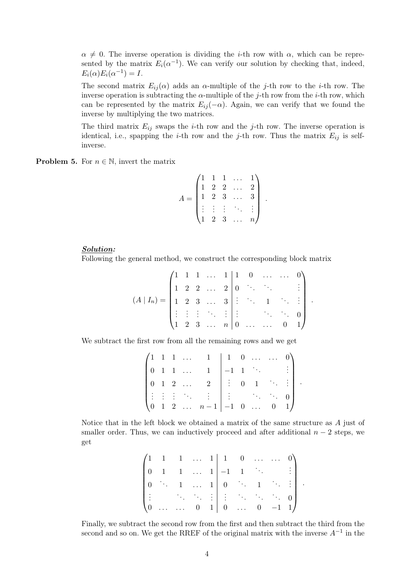$\alpha \neq 0$ . The inverse operation is dividing the *i*-th row with  $\alpha$ , which can be represented by the matrix  $E_i(\alpha^{-1})$ . We can verify our solution by checking that, indeed,  $E_i(\alpha)E_i(\alpha^{-1})=I.$ 

The second matrix  $E_{ij}(\alpha)$  adds an  $\alpha$ -multiple of the j-th row to the i-th row. The inverse operation is subtracting the  $\alpha$ -multiple of the *j*-th row from the *i*-th row, which can be represented by the matrix  $E_{ij}(-\alpha)$ . Again, we can verify that we found the inverse by multiplying the two matrices.

The third matrix  $E_{ij}$  swaps the *i*-th row and the *j*-th row. The inverse operation is identical, i.e., spapping the *i*-th row and the *j*-th row. Thus the matrix  $E_{ij}$  is selfinverse.

**Problem 5.** For  $n \in \mathbb{N}$ , invert the matrix

$$
A = \begin{pmatrix} 1 & 1 & 1 & \dots & 1 \\ 1 & 2 & 2 & \dots & 2 \\ 1 & 2 & 3 & \dots & 3 \\ \vdots & \vdots & \vdots & \ddots & \vdots \\ 1 & 2 & 3 & \dots & n \end{pmatrix}
$$

.

.

.

#### Solution:

Following the general method, we construct the corresponding block matrix

$$
(A \mid I_n) = \begin{pmatrix} 1 & 1 & 1 & \dots & 1 & 1 & 0 & \dots & \dots & 0 \\ 1 & 2 & 2 & \dots & 2 & 0 & \ddots & \ddots & & \vdots \\ 1 & 2 & 3 & \dots & 3 & \vdots & \ddots & 1 & \ddots & \vdots \\ \vdots & \vdots & \vdots & \ddots & \vdots & \vdots & & \ddots & \ddots & 0 \\ 1 & 2 & 3 & \dots & n & 0 & \dots & \dots & 0 & 1 \end{pmatrix}
$$

i.

We subtract the first row from all the remaining rows and we get

|  |  |                                  | $\begin{pmatrix} 1 & 1 & 1 & \dots & 1 & 1 & 0 & \dots & \dots \end{pmatrix}$ |  |                 |                                                                                                |               |  |
|--|--|----------------------------------|-------------------------------------------------------------------------------|--|-----------------|------------------------------------------------------------------------------------------------|---------------|--|
|  |  |                                  | $1 \quad 1 \quad \ldots \quad 1$                                              |  | $-1$ 1 $\cdots$ |                                                                                                | $\frac{1}{2}$ |  |
|  |  | $0 \quad 1 \quad 2 \quad \ldots$ | $\overline{2}$                                                                |  |                 | $\begin{bmatrix} \vdots & 0 & 1 \end{bmatrix}$ $\begin{bmatrix} \ddots & \vdots \end{bmatrix}$ |               |  |
|  |  |                                  |                                                                               |  |                 |                                                                                                |               |  |
|  |  |                                  | $\begin{pmatrix} 0 & 1 & 2 & \dots & n-1 & -1 & 0 & \dots \end{pmatrix}$      |  |                 | $\overline{0}$                                                                                 |               |  |

Notice that in the left block we obtained a matrix of the same structure as A just of smaller order. Thus, we can inductively proceed and after additional  $n-2$  steps, we get

|  |  |  | $\begin{pmatrix} 1 & 1 & 1 & \dots & 1 & 1 & 0 & \dots & \dots & 0 \end{pmatrix}$                                                             |  |  |
|--|--|--|-----------------------------------------------------------------------------------------------------------------------------------------------|--|--|
|  |  |  | $\begin{bmatrix} 0 & 1 & 1 & \dots & 1 & -1 & 1 & \dots & \end{bmatrix}$                                                                      |  |  |
|  |  |  | $\begin{bmatrix} 0 & \cdots & 1 & \dots & 1 \end{bmatrix} \begin{bmatrix} 0 & \cdots & 1 & \cdots & \vdots \end{bmatrix}$                     |  |  |
|  |  |  | $\left  \begin{array}{ccc} 1 & 0 & 0 \\ 0 & 0 & 0 \end{array} \right  = \left  \begin{array}{ccc} 1 & 0 & 0 \\ 0 & 0 & 0 \end{array} \right $ |  |  |
|  |  |  | $\begin{pmatrix} 0 & \dots & \dots & 0 & 1 & 0 & \dots & 0 & -1 & 1 \end{pmatrix}$                                                            |  |  |

Finally, we subtract the second row from the first and then subtract the third from the second and so on. We get the RREF of the original matrix with the inverse  $A^{-1}$  in the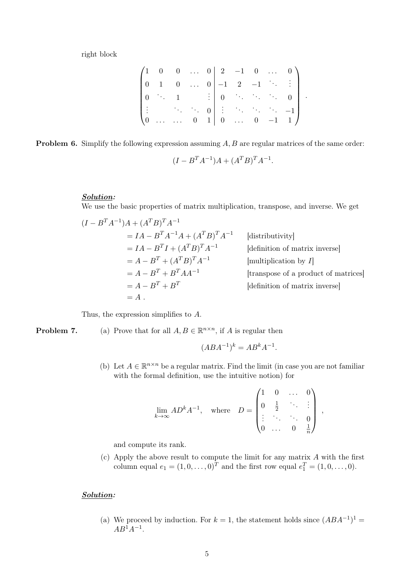right block

|            |                                        |                         |  | $\begin{pmatrix} 1 & 0 & 0 & \dots & 0 & 2 & -1 & 0 & \dots \end{pmatrix}$                                                                                           |                         |                  |  |
|------------|----------------------------------------|-------------------------|--|----------------------------------------------------------------------------------------------------------------------------------------------------------------------|-------------------------|------------------|--|
|            | $\sim$ 1                               |                         |  | $\begin{bmatrix} 0 & \ldots & 0 & -1 & 2 & -1 & \cdots \end{bmatrix}$                                                                                                |                         |                  |  |
|            | $\mathcal{O}(\mathcal{O}_\mathcal{A})$ | $1$ and $1$             |  | $\begin{array}{c cccc}\n\vdots & 0 & \cdots & \cdots & \cdots\n\end{array}$                                                                                          |                         | $\boldsymbol{0}$ |  |
|            |                                        |                         |  | $\begin{bmatrix} 1 & 1 & 1 \\ 1 & 1 & 1 \end{bmatrix}$ $\begin{bmatrix} 1 & 1 & 1 \\ 1 & 1 & 1 \end{bmatrix}$ $\begin{bmatrix} 1 & 1 & 1 \\ 1 & 1 & 1 \end{bmatrix}$ |                         |                  |  |
| $\sqrt{0}$ |                                        | $\cdots$ $\cdots$ 0 1 0 |  | $\ldots$                                                                                                                                                             | $\overline{\mathbf{0}}$ |                  |  |

**Problem 6.** Simplify the following expression assuming  $A, B$  are regular matrices of the same order:

$$
(I - B^{T}A^{-1})A + (A^{T}B)^{T}A^{-1}.
$$

### Solution:

We use the basic properties of matrix multiplication, transpose, and inverse. We get

$$
(I - BT A-1)A + (AT B)T A-1
$$
  
=  $IA - BT A-1 A + (AT B)T A-1$  [distributivity]  
=  $IA - BT I + (AT B)T A-1$  [definition of matrix inverse]  
=  $A - BT + (AT B)T A-1$  [multiplication by *I*]  
=  $A - BT + BT A A-1$  [transpose of a product of matrices]  
=  $A - BT + BT$  [definition of matrix inverse]  
= A.

Thus, the expression simplifies to A.

**Problem 7.** (a) Prove that for all  $A, B \in \mathbb{R}^{n \times n}$ , if A is regular then

$$
(ABA^{-1})^k = AB^kA^{-1}.
$$

(b) Let  $A \in \mathbb{R}^{n \times n}$  be a regular matrix. Find the limit (in case you are not familiar with the formal definition, use the intuitive notion) for

$$
\lim_{k \to \infty} AD^{k} A^{-1}, \quad \text{where} \quad D = \begin{pmatrix} 1 & 0 & \dots & 0 \\ 0 & \frac{1}{2} & \ddots & \vdots \\ \vdots & \ddots & \ddots & 0 \\ 0 & \dots & 0 & \frac{1}{n} \end{pmatrix} ,
$$

and compute its rank.

(c) Apply the above result to compute the limit for any matrix A with the first column equal  $e_1 = (1, 0, \dots, 0)^T$  and the first row equal  $e_1^T = (1, 0, \dots, 0)$ .

# Solution:

(a) We proceed by induction. For  $k = 1$ , the statement holds since  $(ABA^{-1})^1 =$  $AB^1A^{-1}$ .